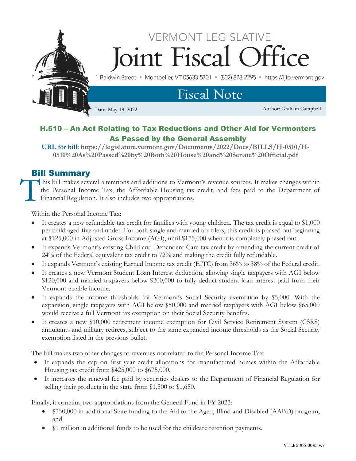

## H.510 – An Act Relating to Tax Reductions and Other Aid for Vermonters As Passed by the General Assembly

**URL for bill: [https://legislature.vermont.gov/Documents/2022/Docs/BILLS/H-0510/H-](https://legislature.vermont.gov/Documents/2022/Docs/BILLS/H-0510/H-0510%20As%20Passed%20by%20Both%20House%20and%20Senate%20Official.pdf)[0510%20As%20Passed%20by%20Both%20House%20and%20Senate%20Official.pdf](https://legislature.vermont.gov/Documents/2022/Docs/BILLS/H-0510/H-0510%20As%20Passed%20by%20Both%20House%20and%20Senate%20Official.pdf)**

## Bill Summary

his bill makes several alterations and additions to Vermont's revenue sources. It makes changes within the Personal Income Tax, the Affordable Housing tax credit, and fees paid to the Department of Financial Regulation. It also includes two appropriations. T

Within the Personal Income Tax:

- It creates a new refundable tax credit for families with young children. The tax credit is equal to \$1,000 per child aged five and under. For both single and married tax filers, this credit is phased out beginning at \$125,000 in Adjusted Gross Income (AGI), until \$175,000 when it is completely phased out.
- It expands Vermont's existing Child and Dependent Care tax credit by amending the current credit of 24% of the Federal equivalent tax credit to 72% and making the credit fully refundable.
- It expands Vermont's existing Earned Income tax credit (EITC) from 36% to 38% of the Federal credit.
- It creates a new Vermont Student Loan Interest deduction, allowing single taxpayers with AGI below \$120,000 and married taxpayers below \$200,000 to fully deduct student loan interest paid from their Vermont taxable income.
- It expands the income thresholds for Vermont's Social Security exemption by \$5,000. With the expansion, single taxpayers with AGI below \$50,000 and married taxpayers with AGI below \$65,000 would receive a full Vermont tax exemption on their Social Security benefits.
- It creates a new \$10,000 retirement income exemption for Civil Service Retirement System (CSRS) annuitants and military retirees, subject to the same expanded income thresholds as the Social Security exemption listed in the previous bullet.

The bill makes two other changes to revenues not related to the Personal Income Tax:

- It expands the cap on first year credit allocations for manufactured homes within the Affordable Housing tax credit from \$425,000 to \$675,000.
- It increases the renewal fee paid by securities dealers to the Department of Financial Regulation for selling their products in the state from \$1,500 to \$1,650.

Finally, it contains two appropriations from the General Fund in FY 2023:

- \$750,000 in additional State funding to the Aid to the Aged, Blind and Disabled (AABD) program, and
- \$1 million in additional funds to be used for the childcare retention payments.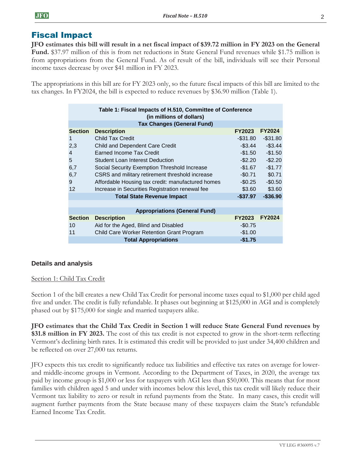## Fiscal Impact

**JFO** 

**JFO estimates this bill will result in a net fiscal impact of \$39.72 million in FY 2023 on the General Fund.** \$37.97 million of this is from net reductions in State General Fund revenues while \$1.75 million is from appropriations from the General Fund. As of result of the bill, individuals will see their Personal income taxes decrease by over \$41 million in FY 2023.

The appropriations in this bill are for FY 2023 only, so the future fiscal impacts of this bill are limited to the tax changes. In FY2024, the bill is expected to reduce revenues by \$36.90 million (Table 1).

| Table 1: Fiscal Impacts of H.510, Committee of Conference<br>(in millions of dollars) |                                                   |               |               |  |  |  |  |
|---------------------------------------------------------------------------------------|---------------------------------------------------|---------------|---------------|--|--|--|--|
|                                                                                       | <b>Tax Changes (General Fund)</b>                 |               |               |  |  |  |  |
| <b>Section</b>                                                                        | <b>Description</b>                                | <b>FY2023</b> | <b>FY2024</b> |  |  |  |  |
| $\mathbf 1$                                                                           | Child Tax Credit                                  | $-$ \$31.80   | $-$ \$31.80   |  |  |  |  |
| 2,3                                                                                   | <b>Child and Dependent Care Credit</b>            | $-$ \$3.44    | $-$ \$3.44    |  |  |  |  |
| 4                                                                                     | <b>Earned Income Tax Credit</b>                   | -\$1.50       | $-$1.50$      |  |  |  |  |
| 5                                                                                     | <b>Student Loan Interest Deduction</b>            | $-$ \$2.20    | $-$ \$2.20    |  |  |  |  |
| 6,7                                                                                   | Social Security Exemption Threshold Increase      | -\$1.67       | $-$1.77$      |  |  |  |  |
| 6,7                                                                                   | CSRS and military retirement threshold increase   | $-$0.71$      | \$0.71        |  |  |  |  |
| 9                                                                                     | Affordable Housing tax credit: manufactured homes | -\$0.25       | $-$0.50$      |  |  |  |  |
| 12                                                                                    | Increase in Securities Registration renewal fee   | \$3.60        | \$3.60        |  |  |  |  |
|                                                                                       | <b>Total State Revenue Impact</b>                 | $-$ \$37.97   | $-$ \$36.90   |  |  |  |  |
|                                                                                       |                                                   |               |               |  |  |  |  |
| <b>Appropriations (General Fund)</b>                                                  |                                                   |               |               |  |  |  |  |
| <b>Section</b>                                                                        | <b>Description</b>                                | <b>FY2023</b> | <b>FY2024</b> |  |  |  |  |
| 10                                                                                    | Aid for the Aged, Blind and Disabled              | $-$0.75$      |               |  |  |  |  |
| 11                                                                                    | Child Care Worker Retention Grant Program         | $-$1.00$      |               |  |  |  |  |
|                                                                                       | <b>Total Appropriations</b>                       | -\$1.75       |               |  |  |  |  |

## **Details and analysis**

## Section 1: Child Tax Credit

Section 1 of the bill creates a new Child Tax Credit for personal income taxes equal to \$1,000 per child aged five and under. The credit is fully refundable. It phases out beginning at \$125,000 in AGI and is completely phased out by \$175,000 for single and married taxpayers alike.

**JFO estimates that the Child Tax Credit in Section 1 will reduce State General Fund revenues by \$31.8 million in FY 2023.** The cost of this tax credit is not expected to grow in the short-term reflecting Vermont's declining birth rates. It is estimated this credit will be provided to just under 34,400 children and be reflected on over 27,000 tax returns.

JFO expects this tax credit to significantly reduce tax liabilities and effective tax rates on average for lowerand middle-income groups in Vermont. According to the Department of Taxes, in 2020, the average tax paid by income group is \$1,000 or less for taxpayers with AGI less than \$50,000. This means that for most families with children aged 5 and under with incomes below this level, this tax credit will likely reduce their Vermont tax liability to zero or result in refund payments from the State. In many cases, this credit will augment further payments from the State because many of these taxpayers claim the State's refundable Earned Income Tax Credit.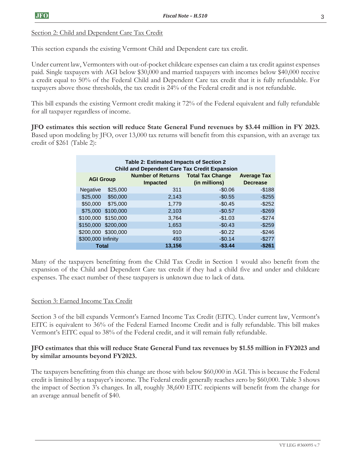## Section 2: Child and Dependent Care Tax Credit

This section expands the existing Vermont Child and Dependent care tax credit.

Under current law, Vermonters with out-of-pocket childcare expenses can claim a tax credit against expenses paid. Single taxpayers with AGI below \$30,000 and married taxpayers with incomes below \$40,000 receive a credit equal to 50% of the Federal Child and Dependent Care tax credit that it is fully refundable. For taxpayers above those thresholds, the tax credit is 24% of the Federal credit and is not refundable.

This bill expands the existing Vermont credit making it 72% of the Federal equivalent and fully refundable for all taxpayer regardless of income.

**JFO estimates this section will reduce State General Fund revenues by \$3.44 million in FY 2023.**  Based upon modeling by JFO, over 13,000 tax returns will benefit from this expansion, with an average tax credit of \$261 (Table 2):

| Table 2: Estimated Impacts of Section 2<br><b>Child and Dependent Care Tax Credit Expansion</b> |                     |                                                               |               |                                       |  |  |  |
|-------------------------------------------------------------------------------------------------|---------------------|---------------------------------------------------------------|---------------|---------------------------------------|--|--|--|
| <b>AGI Group</b>                                                                                |                     | <b>Number of Returns  Total Tax Change</b><br><b>Impacted</b> | (in millions) | <b>Average Tax</b><br><b>Decrease</b> |  |  |  |
| <b>Negative</b>                                                                                 | \$25,000            | 311                                                           | $-$0.06$      | $-$ \$188                             |  |  |  |
| \$25,000                                                                                        | \$50,000            | 2,143                                                         | $-$0.55$      | $-$255$                               |  |  |  |
| \$50,000                                                                                        | \$75,000            | 1,779                                                         | $-$0.45$      | $-$ \$252                             |  |  |  |
|                                                                                                 | \$75,000 \$100,000  | 2,103                                                         | $-$0.57$      | $-$269$                               |  |  |  |
|                                                                                                 | \$100,000 \$150,000 | 3,764                                                         | $-$1.03$      | $-$274$                               |  |  |  |
|                                                                                                 | \$150,000 \$200,000 | 1,653                                                         | $-$0.43$      | $-$ \$259                             |  |  |  |
|                                                                                                 | \$200,000 \$300,000 | 910                                                           | $-$0.22$      | $-$246$                               |  |  |  |
| \$300,000 Infinity                                                                              |                     | 493                                                           | $-$0.14$      | $-$277$                               |  |  |  |
| Total                                                                                           |                     | 13.156                                                        | $-$ \$3.44    | -\$261                                |  |  |  |

Many of the taxpayers benefitting from the Child Tax Credit in Section 1 would also benefit from the expansion of the Child and Dependent Care tax credit if they had a child five and under and childcare expenses. The exact number of these taxpayers is unknown due to lack of data.

## Section 3: Earned Income Tax Credit

Section 3 of the bill expands Vermont's Earned Income Tax Credit (EITC). Under current law, Vermont's EITC is equivalent to 36% of the Federal Earned Income Credit and is fully refundable. This bill makes Vermont's EITC equal to 38% of the Federal credit, and it will remain fully refundable.

## **JFO estimates that this will reduce State General Fund tax revenues by \$1.55 million in FY2023 and by similar amounts beyond FY2023.**

The taxpayers benefitting from this change are those with below \$60,000 in AGI. This is because the Federal credit is limited by a taxpayer's income. The Federal credit generally reaches zero by \$60,000. Table 3 shows the impact of Section 3's changes. In all, roughly 38,600 EITC recipients will benefit from the change for an average annual benefit of \$40.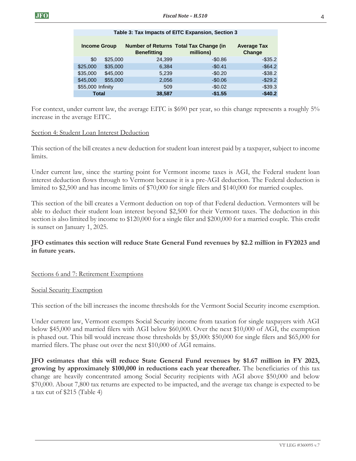| <b>Income Group</b>  | <b>Benefitting</b> | Number of Returns Total Tax Change (in<br>millions) | <b>Average Tax</b><br>Change |
|----------------------|--------------------|-----------------------------------------------------|------------------------------|
| \$0<br>\$25,000      | 24.399             | $-$0.86$                                            | $-$ \$35.2                   |
| \$35,000<br>\$25,000 | 6,384              | $-$0.41$                                            | $-$ \$64.2                   |
| \$35,000<br>\$45,000 | 5.239              | $-$0.20$                                            | $-$38.2$                     |
| \$45,000<br>\$55,000 | 2,056              | $-$0.06$                                            | $-$29.2$                     |
| \$55,000 Infinity    | 509                | $-$0.02$                                            | $-$39.3$                     |
| <b>Total</b>         | 38,587             | $-$1.55$                                            | $-$40.2$                     |

#### **Table 3: Tax Impacts of EITC Expansion, Section 3**

For context, under current law, the average EITC is \$690 per year, so this change represents a roughly 5% increase in the average EITC.

#### Section 4: Student Loan Interest Deduction

This section of the bill creates a new deduction for student loan interest paid by a taxpayer, subject to income limits.

Under current law, since the starting point for Vermont income taxes is AGI, the Federal student loan interest deduction flows through to Vermont because it is a pre-AGI deduction. The Federal deduction is limited to \$2,500 and has income limits of \$70,000 for single filers and \$140,000 for married couples.

This section of the bill creates a Vermont deduction on top of that Federal deduction. Vermonters will be able to deduct their student loan interest beyond \$2,500 for their Vermont taxes. The deduction in this section is also limited by income to \$120,000 for a single filer and \$200,000 for a married couple. This credit is sunset on January 1, 2025.

## **JFO estimates this section will reduce State General Fund revenues by \$2.2 million in FY2023 and in future years.**

### Sections 6 and 7: Retirement Exemptions

#### Social Security Exemption

This section of the bill increases the income thresholds for the Vermont Social Security income exemption.

Under current law, Vermont exempts Social Security income from taxation for single taxpayers with AGI below \$45,000 and married filers with AGI below \$60,000. Over the next \$10,000 of AGI, the exemption is phased out. This bill would increase those thresholds by \$5,000: \$50,000 for single filers and \$65,000 for married filers. The phase out over the next \$10,000 of AGI remains.

**JFO estimates that this will reduce State General Fund revenues by \$1.67 million in FY 2023, growing by approximately \$100,000 in reductions each year thereafter.** The beneficiaries of this tax change are heavily concentrated among Social Security recipients with AGI above \$50,000 and below \$70,000. About 7,800 tax returns are expected to be impacted, and the average tax change is expected to be a tax cut of \$215 (Table 4)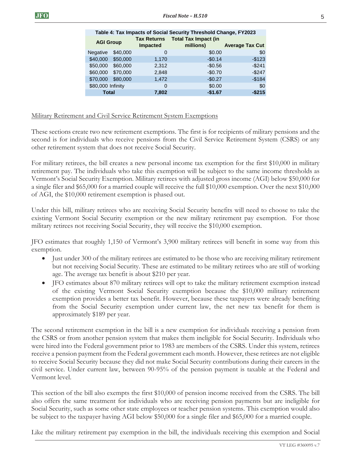| ted:              | millions) | <b>Average Tax Cut</b> |
|-------------------|-----------|------------------------|
| $\mathbf{\Omega}$ | \$0.00    | \$0                    |
| 1.170             | $-$0.14$  | $-$123$                |
| 2.312             | $-$0.56$  | $-$241$                |

|                   |          |       |          | $1.1.0.000$ . and $0.001$ |
|-------------------|----------|-------|----------|---------------------------|
| Negative          | \$40,000 | 0     | \$0.00   | \$0                       |
| \$40,000          | \$50,000 | 1,170 | $-$0.14$ | $-$123$                   |
| \$50,000          | \$60,000 | 2.312 | $-$0.56$ | $-$241$                   |
| \$60,000          | \$70,000 | 2,848 | $-$0.70$ | $-$247$                   |
| \$70,000          | \$80,000 | 1,472 | $-$0.27$ | $-$184$                   |
| \$80,000 Infinity |          | 0     | \$0.00   | \$0                       |
| <b>Total</b>      |          | 7,802 | $-$1.67$ | $-$ \$215                 |

**Number of Table 4: Tax Impacts of Social Security Threshold Change, FY2023 Tax Returns Total Tax Impact (in** 

**Impacted**

#### Military Retirement and Civil Service Retirement System Exemptions

**AGI Group**

These sections create two new retirement exemptions. The first is for recipients of military pensions and the second is for individuals who receive pensions from the Civil Service Retirement System (CSRS) or any other retirement system that does not receive Social Security.

For military retirees, the bill creates a new personal income tax exemption for the first \$10,000 in military retirement pay. The individuals who take this exemption will be subject to the same income thresholds as Vermont's Social Security Exemption. Military retirees with adjusted gross income (AGI) below \$50,000 for a single filer and \$65,000 for a married couple will receive the full \$10,000 exemption. Over the next \$10,000 of AGI, the \$10,000 retirement exemption is phased out.

Under this bill, military retirees who are receiving Social Security benefits will need to choose to take the existing Vermont Social Security exemption or the new military retirement pay exemption. For those military retirees not receiving Social Security, they will receive the \$10,000 exemption.

JFO estimates that roughly 1,150 of Vermont's 3,900 military retirees will benefit in some way from this exemption.

- Just under 300 of the military retirees are estimated to be those who are receiving military retirement but not receiving Social Security. These are estimated to be military retirees who are still of working age. The average tax benefit is about \$210 per year.
- JFO estimates about 870 military retirees will opt to take the military retirement exemption instead of the existing Vermont Social Security exemption because the \$10,000 military retirement exemption provides a better tax benefit. However, because these taxpayers were already benefiting from the Social Security exemption under current law, the net new tax benefit for them is approximately \$189 per year.

The second retirement exemption in the bill is a new exemption for individuals receiving a pension from the CSRS or from another pension system that makes them ineligible for Social Security. Individuals who were hired into the Federal government prior to 1983 are members of the CSRS. Under this system, retirees receive a pension payment from the Federal government each month. However, these retirees are not eligible to receive Social Security because they did not make Social Security contributions during their careers in the civil service. Under current law, between 90-95% of the pension payment is taxable at the Federal and Vermont level.

This section of the bill also exempts the first \$10,000 of pension income received from the CSRS. The bill also offers the same treatment for individuals who are receiving pension payments but are ineligible for Social Security, such as some other state employees or teacher pension systems. This exemption would also be subject to the taxpayer having AGI below \$50,000 for a single filer and \$65,000 for a married couple.

Like the military retirement pay exemption in the bill, the individuals receiving this exemption and Social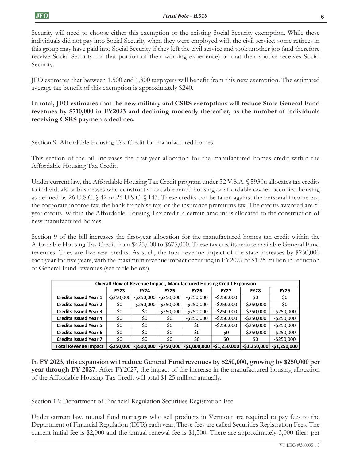Security will need to choose either this exemption or the existing Social Security exemption. While these individuals did not pay into Social Security when they were employed with the civil service, some retirees in this group may have paid into Social Security if they left the civil service and took another job (and therefore receive Social Security for that portion of their working experience) or that their spouse receives Social Security.

JFO estimates that between 1,500 and 1,800 taxpayers will benefit from this new exemption. The estimated average tax benefit of this exemption is approximately \$240.

## **In total, JFO estimates that the new military and CSRS exemptions will reduce State General Fund revenues by \$710,000 in FY2023 and declining modestly thereafter, as the number of individuals receiving CSRS payments declines.**

## Section 9: Affordable Housing Tax Credit for manufactured homes

This section of the bill increases the first-year allocation for the manufactured homes credit within the Affordable Housing Tax Credit.

Under current law, the Affordable Housing Tax Credit program under 32 V.S.A. § 5930u allocates tax credits to individuals or businesses who construct affordable rental housing or affordable owner-occupied housing as defined by 26 U.S.C. § 42 or 26 U.S.C. § 143. These credits can be taken against the personal income tax, the corporate income tax, the bank franchise tax, or the insurance premiums tax. The credits awarded are 5 year credits. Within the Affordable Housing Tax credit, a certain amount is allocated to the construction of new manufactured homes.

Section 9 of the bill increases the first-year allocation for the manufactured homes tax credit within the Affordable Housing Tax Credit from \$425,000 to \$675,000. These tax credits reduce available General Fund revenues. They are five-year credits. As such, the total revenue impact of the state increases by \$250,000 each year for five years, with the maximum revenue impact occurring in FY2027 of \$1.25 million in reduction of General Fund revenues (see table below).

| <b>Overall Flow of Revenue Impact, Manufactured Housing Credit Expansion</b> |               |               |               |               |               |               |               |
|------------------------------------------------------------------------------|---------------|---------------|---------------|---------------|---------------|---------------|---------------|
|                                                                              | <b>FY23</b>   | <b>FY24</b>   | <b>FY25</b>   | <b>FY26</b>   | <b>FY27</b>   | <b>FY28</b>   | <b>FY29</b>   |
| <b>Credits Issued Year 1</b>                                                 | $-$ \$250,000 | $-$250,000$   | $-$ \$250,000 | $-$ \$250,000 | $-$ \$250,000 | \$0           | \$0           |
| <b>Credits Issued Year 2</b>                                                 | \$0           | $-$250,000$   | $-$ \$250,000 | $-5250,000$   | $-5250,000$   | $-$ \$250,000 | \$0           |
| <b>Credits Issued Year 3</b>                                                 | \$0           | \$0           | $-$ \$250,000 | $-$ \$250,000 | $-$ \$250,000 | $-$ \$250,000 | $-5250,000$   |
| <b>Credits Issued Year 4</b>                                                 | \$0           | \$0           | \$0           | $-$ \$250,000 | $-$ \$250,000 | $-$ \$250,000 | $-5250,000$   |
| <b>Credits Issued Year 5</b>                                                 | \$0           | \$0           | \$0           | \$0           | $-$ \$250,000 | $-$ \$250,000 | $-5250,000$   |
| <b>Credits Issued Year 6</b>                                                 | \$0           | \$0           | \$0           | \$0           | \$0           | $-$ \$250,000 | $-5250,000$   |
| <b>Credits Issued Year 7</b>                                                 | \$0           | \$0           | \$0           | \$0           | \$0           | \$0           | $-5250,000$   |
| <b>Total Revenue Impact</b>                                                  | $-$ \$250.000 | $-$ \$500.000 | -\$750.000    | $-51.000.000$ | $-$1,250,000$ | $-51.250.000$ | $-$1,250,000$ |

**In FY 2023, this expansion will reduce General Fund revenues by \$250,000, growing by \$250,000 per year through FY 2027.** After FY2027, the impact of the increase in the manufactured housing allocation of the Affordable Housing Tax Credit will total \$1.25 million annually.

## Section 12: Department of Financial Regulation Securities Registration Fee

Under current law, mutual fund managers who sell products in Vermont are required to pay fees to the Department of Financial Regulation (DFR) each year. These fees are called Securities Registration Fees. The current initial fee is \$2,000 and the annual renewal fee is \$1,500. There are approximately 3,000 filers per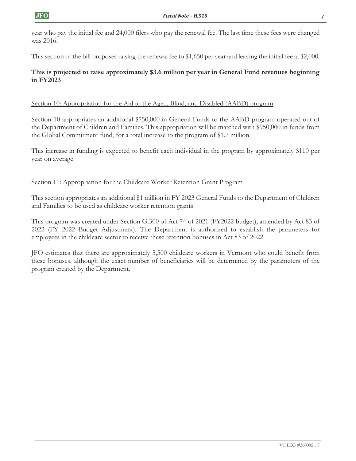year who pay the initial fee and 24,000 filers who pay the renewal fee. The last time these fees were changed was 2016.

This section of the bill proposes raising the renewal fee to \$1,650 per year and leaving the initial fee at \$2,000.

## **This is projected to raise approximately \$3.6 million per year in General Fund revenues beginning in FY2023**

## Section 10: Appropriation for the Aid to the Aged, Blind, and Disabled (AABD) program

Section 10 appropriates an additional \$750,000 in General Funds to the AABD program operated out of the Department of Children and Families. This appropriation will be matched with \$950,000 in funds from the Global Commitment fund, for a total increase to the program of \$1.7 million.

This increase in funding is expected to benefit each individual in the program by approximately \$110 per year on average

## Section 11: Appropriation for the Childcare Worker Retention Grant Program

This section appropriates an additional \$1 million in FY 2023 General Funds to the Department of Children and Families to be used as childcare worker retention grants.

This program was created under Section G.300 of Act 74 of 2021 (FY2022 budget), amended by Act 83 of 2022 (FY 2022 Budget Adjustment). The Department is authorized to establish the parameters for employees in the childcare sector to receive these retention bonuses in Act 83 of 2022.

JFO estimates that there are approximately 5,500 childcare workers in Vermont who could benefit from these bonuses, although the exact number of beneficiaries will be determined by the parameters of the program created by the Department.